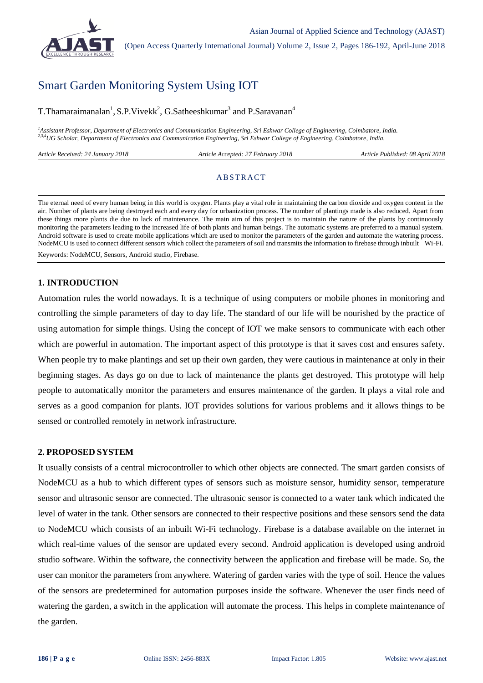

# Smart Garden Monitoring System Using IOT

T.Thamaraimanalan<sup>1</sup>, S.P.Vivekk<sup>2</sup>, G.Satheeshkumar<sup>3</sup> and P.Saravanan<sup>4</sup>

*<sup>1</sup>Assistant Professor, Department of Electronics and Communication Engineering, Sri Eshwar College of Engineering, Coimbatore, India. 2,3,4UG Scholar, Department of Electronics and Communication Engineering, Sri Eshwar College of Engineering, Coimbatore, India.*

| 2018<br>Article<br>Received:<br>24<br>January | 2018<br>Article<br><i>February</i><br>Accepted: | Published: 08 April 2018<br>ticle |
|-----------------------------------------------|-------------------------------------------------|-----------------------------------|
|                                               |                                                 |                                   |

#### **ABSTRACT**

The eternal need of every human being in this world is oxygen. Plants play a vital role in maintaining the carbon dioxide and oxygen content in the air. Number of plants are being destroyed each and every day for urbanization process. The number of plantings made is also reduced. Apart from these things more plants die due to lack of maintenance. The main aim of this project is to maintain the nature of the plants by continuously monitoring the parameters leading to the increased life of both plants and human beings. The automatic systems are preferred to a manual system. Android software is used to create mobile applications which are used to monitor the parameters of the garden and automate the watering process. NodeMCU is used to connect different sensors which collect the parameters of soil and transmits the information to firebase through inbuilt Wi-Fi.

Keywords: NodeMCU, Sensors, Android studio, Firebase.

# **1. INTRODUCTION**

Automation rules the world nowadays. It is a technique of using computers or mobile phones in monitoring and controlling the simple parameters of day to day life. The standard of our life will be nourished by the practice of using automation for simple things. Using the concept of IOT we make sensors to communicate with each other which are powerful in automation. The important aspect of this prototype is that it saves cost and ensures safety. When people try to make plantings and set up their own garden, they were cautious in maintenance at only in their beginning stages. As days go on due to lack of maintenance the plants get destroyed. This prototype will help people to automatically monitor the parameters and ensures maintenance of the garden. It plays a vital role and serves as a good companion for plants. IOT provides solutions for various problems and it allows things to be sensed or controlled remotely in network infrastructure.

#### **2. PROPOSED SYSTEM**

It usually consists of a central microcontroller to which other objects are connected. The smart garden consists of NodeMCU as a hub to which different types of sensors such as moisture sensor, humidity sensor, temperature sensor and ultrasonic sensor are connected. The ultrasonic sensor is connected to a water tank which indicated the level of water in the tank. Other sensors are connected to their respective positions and these sensors send the data to NodeMCU which consists of an inbuilt Wi-Fi technology. Firebase is a database available on the internet in which real-time values of the sensor are updated every second. Android application is developed using android studio software. Within the software, the connectivity between the application and firebase will be made. So, the user can monitor the parameters from anywhere. Watering of garden varies with the type of soil. Hence the values of the sensors are predetermined for automation purposes inside the software. Whenever the user finds need of watering the garden, a switch in the application will automate the process. This helps in complete maintenance of the garden.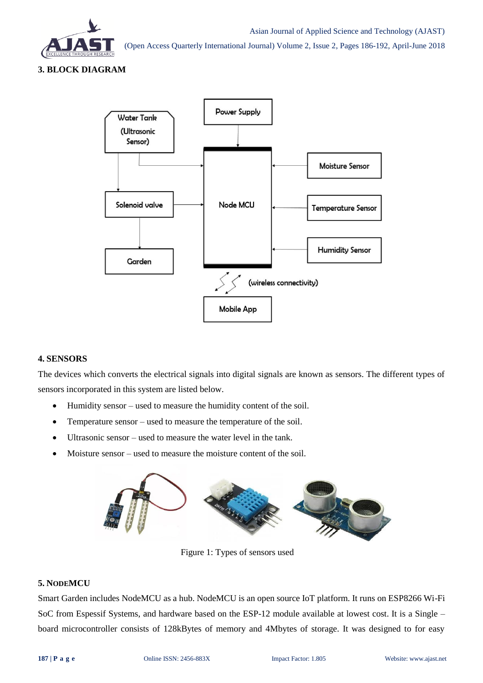

**3. BLOCK DIAGRAM**



#### **4. SENSORS**

The devices which converts the electrical signals into digital signals are known as sensors. The different types of sensors incorporated in this system are listed below.

- Humidity sensor used to measure the humidity content of the soil.
- Temperature sensor used to measure the temperature of the soil.
- Ultrasonic sensor used to measure the water level in the tank.
- Moisture sensor used to measure the moisture content of the soil.



Figure 1: Types of sensors used

### **5. NODEMCU**

Smart Garden includes NodeMCU as a hub. NodeMCU is an open source IoT platform. It runs on ESP8266 Wi-Fi SoC from Espessif Systems, and hardware based on the ESP-12 module available at lowest cost. It is a Single – board microcontroller consists of 128kBytes of memory and 4Mbytes of storage. It was designed to for easy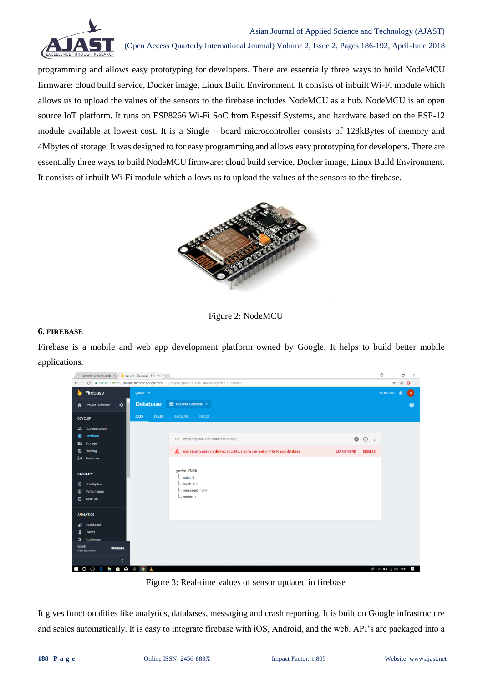

programming and allows easy prototyping for developers. There are essentially three ways to build NodeMCU firmware: cloud build service, Docker image, Linux Build Environment. It consists of inbuilt Wi-Fi module which allows us to upload the values of the sensors to the firebase includes NodeMCU as a hub. NodeMCU is an open source IoT platform. It runs on ESP8266 Wi-Fi SoC from Espessif Systems, and hardware based on the ESP-12 module available at lowest cost. It is a Single – board microcontroller consists of 128kBytes of memory and 4Mbytes of storage. It was designed to for easy programming and allows easy prototyping for developers. There are essentially three ways to build NodeMCU firmware: cloud build service, Docker image, Linux Build Environment. It consists of inbuilt Wi-Fi module which allows us to upload the values of the sensors to the firebase.





#### **6. FIREBASE**

Firebase is a mobile and web app development platform owned by Google. It helps to build better mobile applications.

| Network Authentication $x \times y$ garden - Database - Fire $x \sqrt{y}$ |                                                                                                                                      |                          |             |                 |  |                                                                                                           | $\Theta$       | σ                                                                       | $\times$       |                |
|---------------------------------------------------------------------------|--------------------------------------------------------------------------------------------------------------------------------------|--------------------------|-------------|-----------------|--|-----------------------------------------------------------------------------------------------------------|----------------|-------------------------------------------------------------------------|----------------|----------------|
|                                                                           | C   ● Secure   https://console.firebase.google.com/u/0/project/garden-a7c2b/database/garden-a7c2b/data<br>$\leftarrow$ $\rightarrow$ |                          |             |                 |  |                                                                                                           |                | ☆                                                                       | $\circledcirc$ | $\mathbf{O}$ : |
| <b>K</b> Firebase<br>garden v                                             |                                                                                                                                      |                          |             |                 |  |                                                                                                           |                | <b>Go to docs</b>                                                       |                | $\mathbf{s}$   |
|                                                                           | <b>A</b> Project Overview                                                                                                            | ۰                        |             | <b>Database</b> |  | Realtime Database -                                                                                       |                |                                                                         |                | $\bullet$      |
|                                                                           | <b>DEVELOP</b>                                                                                                                       |                          | <b>DATA</b> | <b>RULES</b>    |  | <b>USAGE</b><br><b>BACKUPS</b>                                                                            |                |                                                                         |                |                |
| Ľ.                                                                        | Authentication                                                                                                                       |                          |             |                 |  |                                                                                                           |                |                                                                         |                |                |
| 9                                                                         | <b>Database</b>                                                                                                                      |                          |             |                 |  | $\bullet$<br>co https://garden-a7c2b.firebaseio.com/                                                      | $\Theta$ :     |                                                                         |                |                |
| ◚                                                                         | <b>Storage</b>                                                                                                                       |                          |             |                 |  |                                                                                                           |                |                                                                         |                |                |
| о                                                                         | <b>Hosting</b>                                                                                                                       |                          |             |                 |  | Your security rules are defined as public, anyone can read or write to your database<br><b>LEARN MORE</b> | <b>DISMISS</b> |                                                                         |                |                |
| $(\cdot)$                                                                 | <b>Functions</b>                                                                                                                     |                          |             |                 |  |                                                                                                           |                |                                                                         |                |                |
| Ł.                                                                        | <b>STABILITY</b><br><b>Crashlytics</b>                                                                                               |                          |             |                 |  | garden-a7c2b<br>auto: 0<br>level: 106                                                                     |                |                                                                         |                |                |
| ⊛                                                                         | Performance                                                                                                                          |                          |             |                 |  | message: "dry'                                                                                            |                |                                                                         |                |                |
| B.                                                                        | <b>Test Lab</b>                                                                                                                      |                          |             |                 |  | $-$ motor: 1                                                                                              |                |                                                                         |                |                |
|                                                                           | <b>ANALYTICS</b>                                                                                                                     |                          |             |                 |  |                                                                                                           |                |                                                                         |                |                |
| al.                                                                       | Dashboard                                                                                                                            |                          |             |                 |  |                                                                                                           |                |                                                                         |                |                |
| L                                                                         | Events                                                                                                                               |                          |             |                 |  |                                                                                                           |                |                                                                         |                |                |
| $\oplus$                                                                  | Audiences                                                                                                                            |                          |             |                 |  |                                                                                                           |                |                                                                         |                |                |
| <b>Spark</b>                                                              | Free \$0/month                                                                                                                       | <b>UPGRADE</b>           |             |                 |  |                                                                                                           |                |                                                                         |                |                |
|                                                                           |                                                                                                                                      | $\overline{\phantom{a}}$ |             |                 |  |                                                                                                           |                |                                                                         |                |                |
|                                                                           | <b>COOPEBOAGE</b>                                                                                                                    |                          |             |                 |  |                                                                                                           |                | $R^R \wedge \Box \text{ (} \Box \text{ (} \Box \text{ 0)}$ 20:41 $\Box$ |                |                |

Figure 3: Real-time values of sensor updated in firebase

It gives functionalities like analytics, databases, messaging and crash reporting. It is built on Google infrastructure and scales automatically. It is easy to integrate firebase with iOS, Android, and the web. API's are packaged into a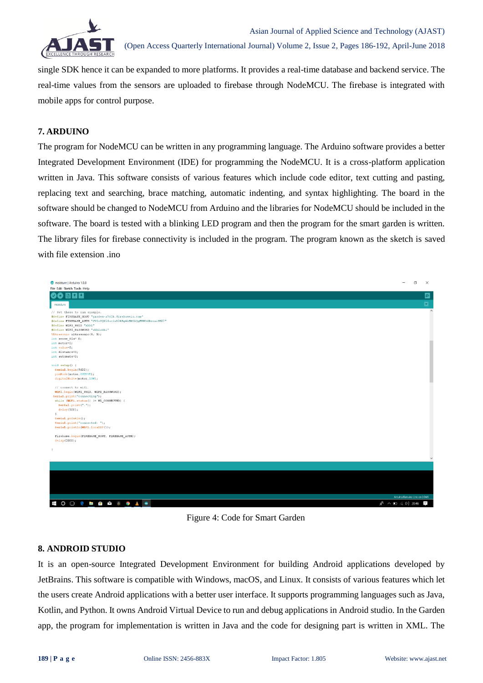

single SDK hence it can be expanded to more platforms. It provides a real-time database and backend service. The real-time values from the sensors are uploaded to firebase through NodeMCU. The firebase is integrated with mobile apps for control purpose.

#### **7. ARDUINO**

The program for NodeMCU can be written in any programming language. The Arduino software provides a better Integrated Development Environment (IDE) for programming the NodeMCU. It is a cross-platform application written in Java. This software consists of various features which include code editor, text cutting and pasting, replacing text and searching, brace matching, automatic indenting, and syntax highlighting. The board in the software should be changed to NodeMCU from Arduino and the libraries for NodeMCU should be included in the software. The board is tested with a blinking LED program and then the program for the smart garden is written. The library files for firebase connectivity is included in the program. The program known as the sketch is saved with file extension .ino



Figure 4: Code for Smart Garden

#### **8. ANDROID STUDIO**

It is an open-source Integrated Development Environment for building Android applications developed by JetBrains. This software is compatible with Windows, macOS, and Linux. It consists of various features which let the users create Android applications with a better user interface. It supports programming languages such as Java, Kotlin, and Python. It owns Android Virtual Device to run and debug applications in Android studio. In the Garden app, the program for implementation is written in Java and the code for designing part is written in XML. The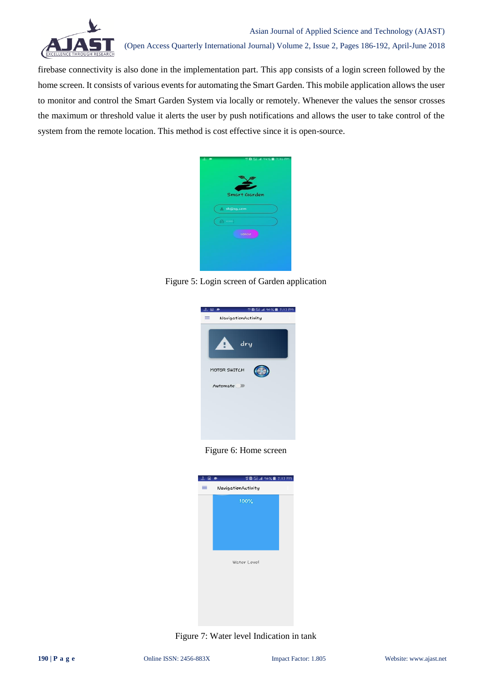

firebase connectivity is also done in the implementation part. This app consists of a login screen followed by the home screen. It consists of various events for automating the Smart Garden. This mobile application allows the user to monitor and control the Smart Garden System via locally or remotely. Whenever the values the sensor crosses the maximum or threshold value it alerts the user by push notifications and allows the user to take control of the system from the remote location. This method is cost effective since it is open-source.



Figure 5: Login screen of Garden application



Figure 6: Home screen



Figure 7: Water level Indication in tank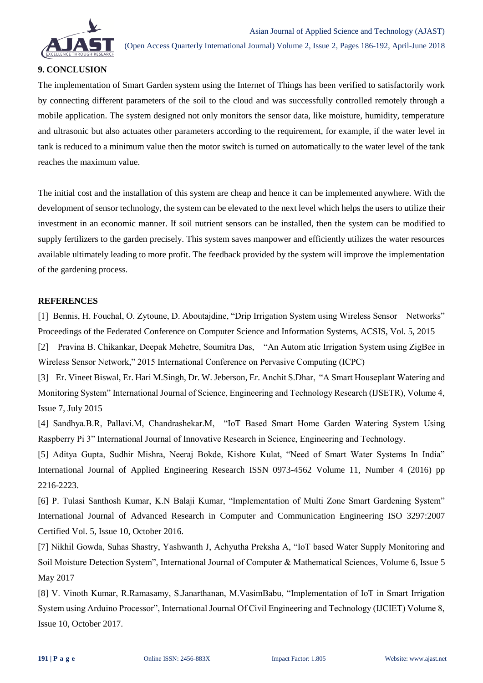

# **9. CONCLUSION**

The implementation of Smart Garden system using the Internet of Things has been verified to satisfactorily work by connecting different parameters of the soil to the cloud and was successfully controlled remotely through a mobile application. The system designed not only monitors the sensor data, like moisture, humidity, temperature and ultrasonic but also actuates other parameters according to the requirement, for example, if the water level in tank is reduced to a minimum value then the motor switch is turned on automatically to the water level of the tank reaches the maximum value.

The initial cost and the installation of this system are cheap and hence it can be implemented anywhere. With the development of sensor technology, the system can be elevated to the next level which helps the users to utilize their investment in an economic manner. If soil nutrient sensors can be installed, then the system can be modified to supply fertilizers to the garden precisely. This system saves manpower and efficiently utilizes the water resources available ultimately leading to more profit. The feedback provided by the system will improve the implementation of the gardening process.

## **REFERENCES**

[1] Bennis, H. Fouchal, O. Zytoune, D. Aboutajdine, "Drip Irrigation System using Wireless Sensor Networks" Proceedings of the Federated Conference on Computer Science and Information Systems, ACSIS, Vol. 5, 2015 [2] Pravina B. Chikankar, Deepak Mehetre, Soumitra Das, "An Autom atic Irrigation System using ZigBee in

Wireless Sensor Network," 2015 International Conference on Pervasive Computing (ICPC)

[3] Er. Vineet Biswal, Er. Hari M.Singh, Dr. W. Jeberson, Er. Anchit S.Dhar, "A Smart Houseplant Watering and Monitoring System" International Journal of Science, Engineering and Technology Research (IJSETR), Volume 4, Issue 7, July 2015

[4] Sandhya.B.R, Pallavi.M, Chandrashekar.M, "IoT Based Smart Home Garden Watering System Using Raspberry Pi 3" International Journal of Innovative Research in Science, Engineering and Technology.

[5] Aditya Gupta, Sudhir Mishra, Neeraj Bokde, Kishore Kulat, "Need of Smart Water Systems In India" International Journal of Applied Engineering Research ISSN 0973-4562 Volume 11, Number 4 (2016) pp 2216-2223.

[6] P. Tulasi Santhosh Kumar, K.N Balaji Kumar, "Implementation of Multi Zone Smart Gardening System" International Journal of Advanced Research in Computer and Communication Engineering ISO 3297:2007 Certified Vol. 5, Issue 10, October 2016.

[7] Nikhil Gowda, Suhas Shastry, Yashwanth J, Achyutha Preksha A, "IoT based Water Supply Monitoring and Soil Moisture Detection System", International Journal of Computer & Mathematical Sciences, Volume 6, Issue 5 May 2017

[8] V. Vinoth Kumar, R.Ramasamy, S.Janarthanan, M.VasimBabu, "Implementation of IoT in Smart Irrigation System using Arduino Processor", International Journal Of Civil Engineering and Technology (IJCIET) Volume 8, Issue 10, October 2017.